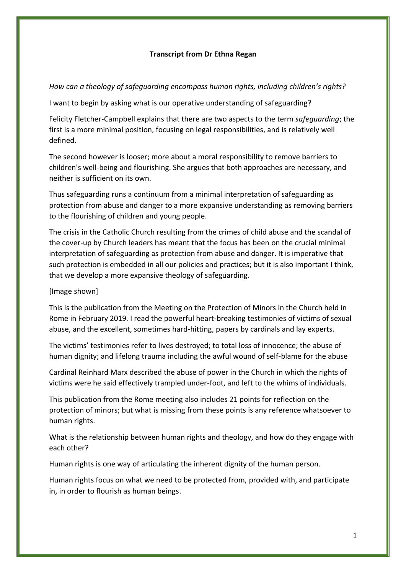## **Transcript from Dr Ethna Regan**

## *How can a theology of safeguarding encompass human rights, including children's rights?*

I want to begin by asking what is our operative understanding of safeguarding?

Felicity Fletcher-Campbell explains that there are two aspects to the term *safeguarding*; the first is a more minimal position, focusing on legal responsibilities, and is relatively well defined.

The second however is looser; more about a moral responsibility to remove barriers to children's well-being and flourishing. She argues that both approaches are necessary, and neither is sufficient on its own.

Thus safeguarding runs a continuum from a minimal interpretation of safeguarding as protection from abuse and danger to a more expansive understanding as removing barriers to the flourishing of children and young people.

The crisis in the Catholic Church resulting from the crimes of child abuse and the scandal of the cover-up by Church leaders has meant that the focus has been on the crucial minimal interpretation of safeguarding as protection from abuse and danger. It is imperative that such protection is embedded in all our policies and practices; but it is also important I think, that we develop a more expansive theology of safeguarding.

## [Image shown]

This is the publication from the Meeting on the Protection of Minors in the Church held in Rome in February 2019. I read the powerful heart-breaking testimonies of victims of sexual abuse, and the excellent, sometimes hard-hitting, papers by cardinals and lay experts.

The victims' testimonies refer to lives destroyed; to total loss of innocence; the abuse of human dignity; and lifelong trauma including the awful wound of self-blame for the abuse

Cardinal Reinhard Marx described the abuse of power in the Church in which the rights of victims were he said effectively trampled under-foot, and left to the whims of individuals.

This publication from the Rome meeting also includes 21 points for reflection on the protection of minors; but what is missing from these points is any reference whatsoever to human rights.

What is the relationship between human rights and theology, and how do they engage with each other?

Human rights is one way of articulating the inherent dignity of the human person.

Human rights focus on what we need to be protected from, provided with, and participate in, in order to flourish as human beings.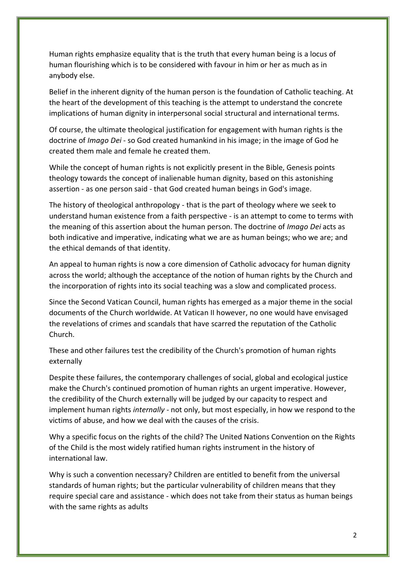Human rights emphasize equality that is the truth that every human being is a locus of human flourishing which is to be considered with favour in him or her as much as in anybody else.

Belief in the inherent dignity of the human person is the foundation of Catholic teaching. At the heart of the development of this teaching is the attempt to understand the concrete implications of human dignity in interpersonal social structural and international terms.

Of course, the ultimate theological justification for engagement with human rights is the doctrine of *Imago Dei* - so God created humankind in his image; in the image of God he created them male and female he created them.

While the concept of human rights is not explicitly present in the Bible, Genesis points theology towards the concept of inalienable human dignity, based on this astonishing assertion - as one person said - that God created human beings in God's image.

The history of theological anthropology - that is the part of theology where we seek to understand human existence from a faith perspective - is an attempt to come to terms with the meaning of this assertion about the human person. The doctrine of *Imago Dei* acts as both indicative and imperative, indicating what we are as human beings; who we are; and the ethical demands of that identity.

An appeal to human rights is now a core dimension of Catholic advocacy for human dignity across the world; although the acceptance of the notion of human rights by the Church and the incorporation of rights into its social teaching was a slow and complicated process.

Since the Second Vatican Council, human rights has emerged as a major theme in the social documents of the Church worldwide. At Vatican II however, no one would have envisaged the revelations of crimes and scandals that have scarred the reputation of the Catholic Church.

These and other failures test the credibility of the Church's promotion of human rights externally

Despite these failures, the contemporary challenges of social, global and ecological justice make the Church's continued promotion of human rights an urgent imperative. However, the credibility of the Church externally will be judged by our capacity to respect and implement human rights *internally* - not only, but most especially, in how we respond to the victims of abuse, and how we deal with the causes of the crisis.

Why a specific focus on the rights of the child? The United Nations Convention on the Rights of the Child is the most widely ratified human rights instrument in the history of international law.

Why is such a convention necessary? Children are entitled to benefit from the universal standards of human rights; but the particular vulnerability of children means that they require special care and assistance - which does not take from their status as human beings with the same rights as adults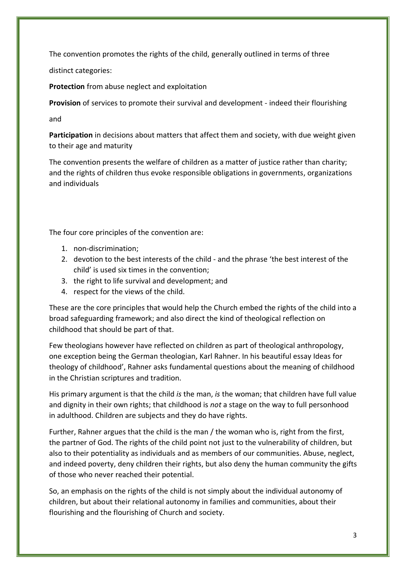The convention promotes the rights of the child, generally outlined in terms of three

distinct categories:

**Protection** from abuse neglect and exploitation

**Provision** of services to promote their survival and development - indeed their flourishing

and

**Participation** in decisions about matters that affect them and society, with due weight given to their age and maturity

The convention presents the welfare of children as a matter of justice rather than charity; and the rights of children thus evoke responsible obligations in governments, organizations and individuals

The four core principles of the convention are:

- 1. non-discrimination;
- 2. devotion to the best interests of the child and the phrase 'the best interest of the child' is used six times in the convention;
- 3. the right to life survival and development; and
- 4. respect for the views of the child.

These are the core principles that would help the Church embed the rights of the child into a broad safeguarding framework; and also direct the kind of theological reflection on childhood that should be part of that.

Few theologians however have reflected on children as part of theological anthropology, one exception being the German theologian, Karl Rahner. In his beautiful essay Ideas for theology of childhood', Rahner asks fundamental questions about the meaning of childhood in the Christian scriptures and tradition.

His primary argument is that the child *is* the man, *is* the woman; that children have full value and dignity in their own rights; that childhood is *not* a stage on the way to full personhood in adulthood. Children are subjects and they do have rights.

Further, Rahner argues that the child is the man / the woman who is, right from the first, the partner of God. The rights of the child point not just to the vulnerability of children, but also to their potentiality as individuals and as members of our communities. Abuse, neglect, and indeed poverty, deny children their rights, but also deny the human community the gifts of those who never reached their potential.

So, an emphasis on the rights of the child is not simply about the individual autonomy of children, but about their relational autonomy in families and communities, about their flourishing and the flourishing of Church and society.